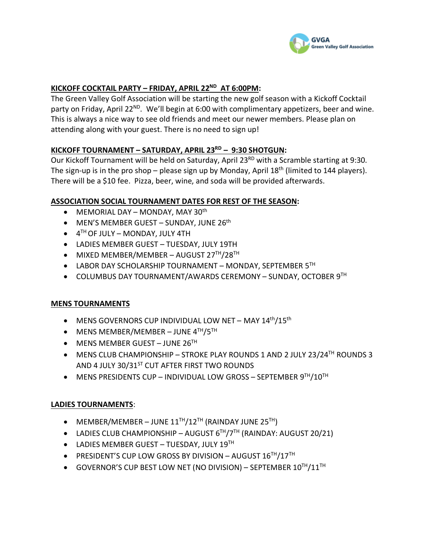

# **KICKOFF COCKTAIL PARTY – FRIDAY, APRIL 22ND AT 6:00PM:**

The Green Valley Golf Association will be starting the new golf season with a Kickoff Cocktail party on Friday, April 22<sup>ND</sup>. We'll begin at 6:00 with complimentary appetizers, beer and wine. This is always a nice way to see old friends and meet our newer members. Please plan on attending along with your guest. There is no need to sign up!

# **KICKOFF TOURNAMENT – SATURDAY, APRIL 23RD – 9:30 SHOTGUN:**

Our Kickoff Tournament will be held on Saturday, April 23<sup>RD</sup> with a Scramble starting at 9:30. The sign-up is in the pro shop – please sign up by Monday, April  $18<sup>th</sup>$  (limited to 144 players). There will be a \$10 fee. Pizza, beer, wine, and soda will be provided afterwards.

#### **ASSOCIATION SOCIAL TOURNAMENT DATES FOR REST OF THE SEASON:**

- MEMORIAL DAY MONDAY, MAY 30<sup>th</sup>
- MEN'S MEMBER GUEST SUNDAY, JUNE  $26<sup>th</sup>$
- $\bullet$  4<sup>TH</sup> OF JULY MONDAY, JULY 4TH
- LADIES MEMBER GUEST TUESDAY, JULY 19TH
- MIXED MEMBER/MEMBER AUGUST 27TH/28TH
- LABOR DAY SCHOLARSHIP TOURNAMENT MONDAY, SEPTEMBER 5TH
- COLUMBUS DAY TOURNAMENT/AWARDS CEREMONY SUNDAY, OCTOBER 9TH

# **MENS TOURNAMENTS**

- MENS GOVERNORS CUP INDIVIDUAL LOW NET MAY  $14<sup>th</sup>/15<sup>th</sup>$
- MENS MEMBER/MEMBER JUNE  $4<sup>TH</sup>/5<sup>TH</sup>$
- MENS MEMBER GUEST JUNE  $26<sup>TH</sup>$
- MENS CLUB CHAMPIONSHIP STROKE PLAY ROUNDS 1 AND 2 JULY 23/24<sup>TH</sup> ROUNDS 3 AND 4 JULY 30/31<sup>ST</sup> CUT AFTER FIRST TWO ROUNDS
- MENS PRESIDENTS CUP INDIVIDUAL LOW GROSS SEPTEMBER 9TH/10TH

#### **LADIES TOURNAMENTS**:

- MEMBER/MEMBER JUNE  $11<sup>TH</sup>/12<sup>TH</sup>$  (RAINDAY JUNE  $25<sup>TH</sup>$ )
- LADIES CLUB CHAMPIONSHIP AUGUST  $6^{TH}/7^{TH}$  (RAINDAY: AUGUST 20/21)
- $\bullet$  LADIES MEMBER GUEST TUESDAY, JULY 19<sup>TH</sup>
- PRESIDENT'S CUP LOW GROSS BY DIVISION AUGUST  $16^{TH}/17^{TH}$
- $\bullet$  GOVERNOR'S CUP BEST LOW NET (NO DIVISION) SEPTEMBER  $10^{TH}/11^{TH}$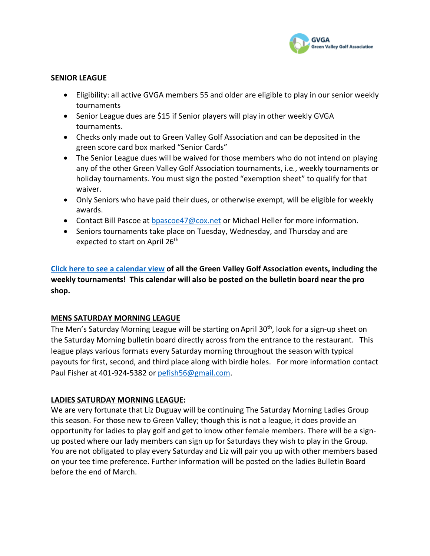

#### **SENIOR LEAGUE**

- Eligibility: all active GVGA members 55 and older are eligible to play in our senior weekly tournaments
- Senior League dues are \$15 if Senior players will play in other weekly GVGA tournaments.
- Checks only made out to Green Valley Golf Association and can be deposited in the green score card box marked "Senior Cards"
- The Senior League dues will be waived for those members who do not intend on playing any of the other Green Valley Golf Association tournaments, i.e., weekly tournaments or holiday tournaments. You must sign the posted "exemption sheet" to qualify for that waiver.
- Only Seniors who have paid their dues, or otherwise exempt, will be eligible for weekly awards.
- Contact Bill Pascoe at bpascoe47@cox.net or Michael Heller for more information.
- Seniors tournaments take place on Tuesday, Wednesday, and Thursday and are expected to start on April 26<sup>th</sup>

**Click here to see a calendar view of all the Green Valley Golf Association events, including the weekly tournaments! This calendar will also be posted on the bulletin board near the pro shop.**

# **MENS SATURDAY MORNING LEAGUE**

The Men's Saturday Morning League will be starting on April 30<sup>th</sup>, look for a sign-up sheet on the Saturday Morning bulletin board directly across from the entrance to the restaurant. This league plays various formats every Saturday morning throughout the season with typical payouts for first, second, and third place along with birdie holes. For more information contact Paul Fisher at 401-924-5382 or pefish56@gmail.com.

# **LADIES SATURDAY MORNING LEAGUE:**

We are very fortunate that Liz Duguay will be continuing The Saturday Morning Ladies Group this season. For those new to Green Valley; though this is not a league, it does provide an opportunity for ladies to play golf and get to know other female members. There will be a signup posted where our lady members can sign up for Saturdays they wish to play in the Group. You are not obligated to play every Saturday and Liz will pair you up with other members based on your tee time preference. Further information will be posted on the ladies Bulletin Board before the end of March.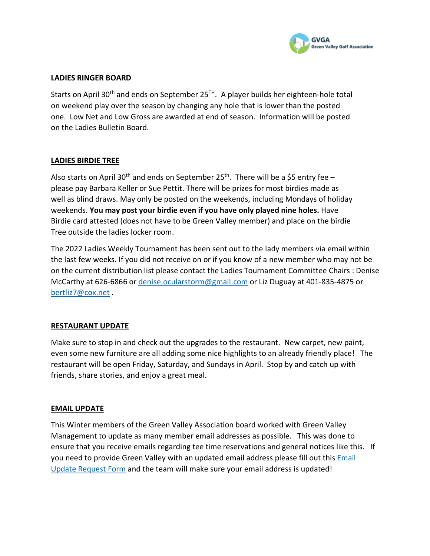

#### **LADIES RINGER BOARD**

Starts on April 30<sup>th</sup> and ends on September 25<sup>TH</sup>. A player builds her eighteen-hole total on weekend play over the season by changing any hole that is lower than the posted one. Low Net and Low Gross are awarded at end of season. Information will be posted on the Ladies Bulletin Board.

# **LADIES BIRDIE TREE**

Also starts on April 30<sup>th</sup> and ends on September 25<sup>th</sup>. There will be a \$5 entry fee – please pay Barbara Keller or Sue Pettit. There will be prizes for most birdies made as well as blind draws. May only be posted on the weekends, including Mondays of holiday weekends. **You may post your birdie even if you have only played nine holes.** Have Birdie card attested (does not have to be Green Valley member) and place on the birdie Tree outside the ladies locker room.

The 2022 Ladies Weekly Tournament has been sent out to the lady members via email within the last few weeks. If you did not receive on or if you know of a new member who may not be on the current distribution list please contact the Ladies Tournament Committee Chairs : Denise McCarthy at 626-6866 or denise.ocularstorm@gmail.com or Liz Duguay at 401-835-4875 or bertliz7@cox.net .

# **RESTAURANT UPDATE**

Make sure to stop in and check out the upgrades to the restaurant. New carpet, new paint, even some new furniture are all adding some nice highlights to an already friendly place! The restaurant will be open Friday, Saturday, and Sundays in April. Stop by and catch up with friends, share stories, and enjoy a great meal.

# **EMAIL UPDATE**

This Winter members of the Green Valley Association board worked with Green Valley Management to update as many member email addresses as possible. This was done to ensure that you receive emails regarding tee time reservations and general notices like this. If you need to provide Green Valley with an updated email address please fill out this Email Update Request Form and the team will make sure your email address is updated!